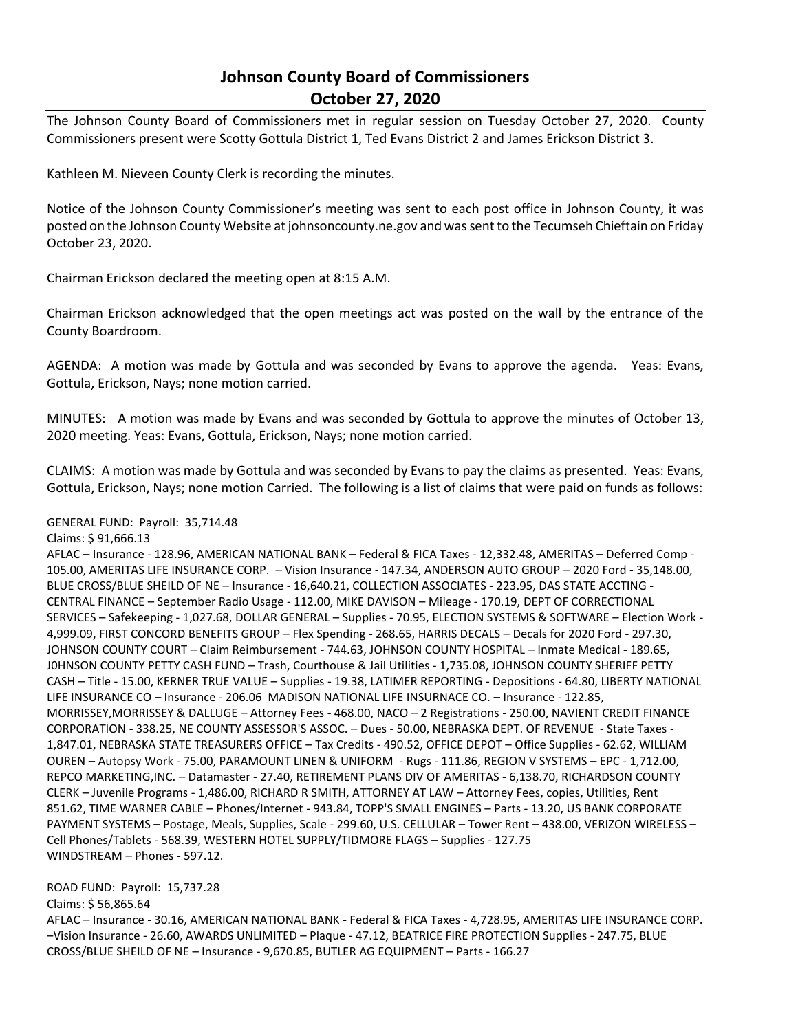## **Johnson County Board of Commissioners October 27, 2020**

The Johnson County Board of Commissioners met in regular session on Tuesday October 27, 2020. County Commissioners present were Scotty Gottula District 1, Ted Evans District 2 and James Erickson District 3.

Kathleen M. Nieveen County Clerk is recording the minutes.

Notice of the Johnson County Commissioner's meeting was sent to each post office in Johnson County, it was posted on the Johnson County Website at johnsoncounty.ne.gov and was sent to the Tecumseh Chieftain on Friday October 23, 2020.

Chairman Erickson declared the meeting open at 8:15 A.M.

Chairman Erickson acknowledged that the open meetings act was posted on the wall by the entrance of the County Boardroom.

AGENDA: A motion was made by Gottula and was seconded by Evans to approve the agenda. Yeas: Evans, Gottula, Erickson, Nays; none motion carried.

MINUTES: A motion was made by Evans and was seconded by Gottula to approve the minutes of October 13, 2020 meeting. Yeas: Evans, Gottula, Erickson, Nays; none motion carried.

CLAIMS: A motion was made by Gottula and was seconded by Evans to pay the claims as presented. Yeas: Evans, Gottula, Erickson, Nays; none motion Carried. The following is a list of claims that were paid on funds as follows:

## GENERAL FUND: Payroll: 35,714.48

## Claims: \$ 91,666.13

AFLAC – Insurance - 128.96, AMERICAN NATIONAL BANK – Federal & FICA Taxes - 12,332.48, AMERITAS – Deferred Comp - 105.00, AMERITAS LIFE INSURANCE CORP. – Vision Insurance - 147.34, ANDERSON AUTO GROUP – 2020 Ford - 35,148.00, BLUE CROSS/BLUE SHEILD OF NE – Insurance - 16,640.21, COLLECTION ASSOCIATES - 223.95, DAS STATE ACCTING - CENTRAL FINANCE – September Radio Usage - 112.00, MIKE DAVISON – Mileage - 170.19, DEPT OF CORRECTIONAL SERVICES – Safekeeping - 1,027.68, DOLLAR GENERAL – Supplies - 70.95, ELECTION SYSTEMS & SOFTWARE – Election Work - 4,999.09, FIRST CONCORD BENEFITS GROUP – Flex Spending - 268.65, HARRIS DECALS – Decals for 2020 Ford - 297.30, JOHNSON COUNTY COURT – Claim Reimbursement - 744.63, JOHNSON COUNTY HOSPITAL – Inmate Medical - 189.65, J0HNSON COUNTY PETTY CASH FUND – Trash, Courthouse & Jail Utilities - 1,735.08, JOHNSON COUNTY SHERIFF PETTY CASH – Title - 15.00, KERNER TRUE VALUE – Supplies - 19.38, LATIMER REPORTING - Depositions - 64.80, LIBERTY NATIONAL LIFE INSURANCE CO – Insurance - 206.06 MADISON NATIONAL LIFE INSURNACE CO. – Insurance - 122.85, MORRISSEY,MORRISSEY & DALLUGE – Attorney Fees - 468.00, NACO – 2 Registrations - 250.00, NAVIENT CREDIT FINANCE CORPORATION - 338.25, NE COUNTY ASSESSOR'S ASSOC. – Dues - 50.00, NEBRASKA DEPT. OF REVENUE - State Taxes - 1,847.01, NEBRASKA STATE TREASURERS OFFICE – Tax Credits - 490.52, OFFICE DEPOT – Office Supplies - 62.62, WILLIAM OUREN – Autopsy Work - 75.00, PARAMOUNT LINEN & UNIFORM - Rugs - 111.86, REGION V SYSTEMS – EPC - 1,712.00, REPCO MARKETING,INC. – Datamaster - 27.40, RETIREMENT PLANS DIV OF AMERITAS - 6,138.70, RICHARDSON COUNTY CLERK – Juvenile Programs - 1,486.00, RICHARD R SMITH, ATTORNEY AT LAW – Attorney Fees, copies, Utilities, Rent 851.62, TIME WARNER CABLE – Phones/Internet - 943.84, TOPP'S SMALL ENGINES – Parts - 13.20, US BANK CORPORATE PAYMENT SYSTEMS – Postage, Meals, Supplies, Scale - 299.60, U.S. CELLULAR – Tower Rent – 438.00, VERIZON WIRELESS – Cell Phones/Tablets - 568.39, WESTERN HOTEL SUPPLY/TIDMORE FLAGS – Supplies - 127.75 WINDSTREAM – Phones - 597.12.

## ROAD FUND: Payroll: 15,737.28

Claims: \$ 56,865.64

AFLAC – Insurance - 30.16, AMERICAN NATIONAL BANK - Federal & FICA Taxes - 4,728.95, AMERITAS LIFE INSURANCE CORP. –Vision Insurance - 26.60, AWARDS UNLIMITED – Plaque - 47.12, BEATRICE FIRE PROTECTION Supplies - 247.75, BLUE CROSS/BLUE SHEILD OF NE – Insurance - 9,670.85, BUTLER AG EQUIPMENT – Parts - 166.27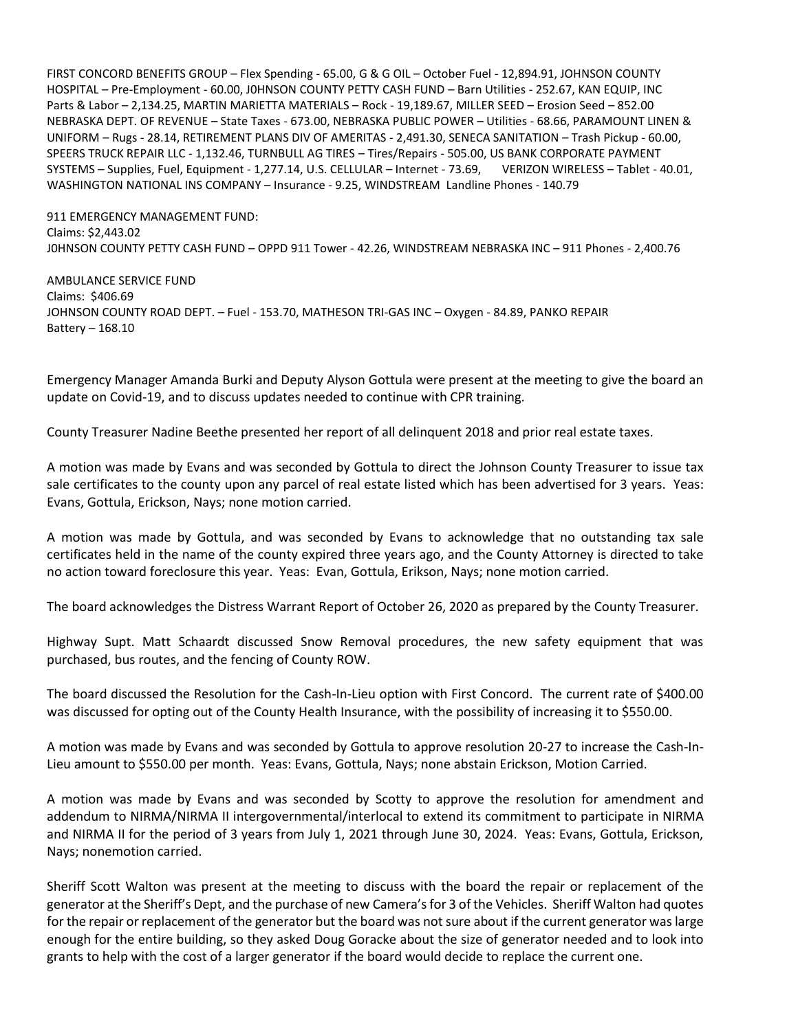FIRST CONCORD BENEFITS GROUP – Flex Spending - 65.00, G & G OIL – October Fuel - 12,894.91, JOHNSON COUNTY HOSPITAL – Pre-Employment - 60.00, J0HNSON COUNTY PETTY CASH FUND – Barn Utilities - 252.67, KAN EQUIP, INC Parts & Labor – 2,134.25, MARTIN MARIETTA MATERIALS – Rock - 19,189.67, MILLER SEED – Erosion Seed – 852.00 NEBRASKA DEPT. OF REVENUE – State Taxes - 673.00, NEBRASKA PUBLIC POWER – Utilities - 68.66, PARAMOUNT LINEN & UNIFORM – Rugs - 28.14, RETIREMENT PLANS DIV OF AMERITAS - 2,491.30, SENECA SANITATION – Trash Pickup - 60.00, SPEERS TRUCK REPAIR LLC - 1,132.46, TURNBULL AG TIRES – Tires/Repairs - 505.00, US BANK CORPORATE PAYMENT SYSTEMS – Supplies, Fuel, Equipment - 1,277.14, U.S. CELLULAR – Internet - 73.69, VERIZON WIRELESS – Tablet - 40.01, WASHINGTON NATIONAL INS COMPANY – Insurance - 9.25, WINDSTREAM Landline Phones - 140.79

911 EMERGENCY MANAGEMENT FUND: Claims: \$2,443.02 J0HNSON COUNTY PETTY CASH FUND – OPPD 911 Tower - 42.26, WINDSTREAM NEBRASKA INC – 911 Phones - 2,400.76

AMBULANCE SERVICE FUND Claims: \$406.69 JOHNSON COUNTY ROAD DEPT. – Fuel - 153.70, MATHESON TRI-GAS INC – Oxygen - 84.89, PANKO REPAIR Battery – 168.10

Emergency Manager Amanda Burki and Deputy Alyson Gottula were present at the meeting to give the board an update on Covid-19, and to discuss updates needed to continue with CPR training.

County Treasurer Nadine Beethe presented her report of all delinquent 2018 and prior real estate taxes.

A motion was made by Evans and was seconded by Gottula to direct the Johnson County Treasurer to issue tax sale certificates to the county upon any parcel of real estate listed which has been advertised for 3 years. Yeas: Evans, Gottula, Erickson, Nays; none motion carried.

A motion was made by Gottula, and was seconded by Evans to acknowledge that no outstanding tax sale certificates held in the name of the county expired three years ago, and the County Attorney is directed to take no action toward foreclosure this year. Yeas: Evan, Gottula, Erikson, Nays; none motion carried.

The board acknowledges the Distress Warrant Report of October 26, 2020 as prepared by the County Treasurer.

Highway Supt. Matt Schaardt discussed Snow Removal procedures, the new safety equipment that was purchased, bus routes, and the fencing of County ROW.

The board discussed the Resolution for the Cash-In-Lieu option with First Concord. The current rate of \$400.00 was discussed for opting out of the County Health Insurance, with the possibility of increasing it to \$550.00.

A motion was made by Evans and was seconded by Gottula to approve resolution 20-27 to increase the Cash-In-Lieu amount to \$550.00 per month. Yeas: Evans, Gottula, Nays; none abstain Erickson, Motion Carried.

A motion was made by Evans and was seconded by Scotty to approve the resolution for amendment and addendum to NIRMA/NIRMA II intergovernmental/interlocal to extend its commitment to participate in NIRMA and NIRMA II for the period of 3 years from July 1, 2021 through June 30, 2024. Yeas: Evans, Gottula, Erickson, Nays; nonemotion carried.

Sheriff Scott Walton was present at the meeting to discuss with the board the repair or replacement of the generator at the Sheriff's Dept, and the purchase of new Camera's for 3 of the Vehicles. Sheriff Walton had quotes for the repair or replacement of the generator but the board was not sure about if the current generator was large enough for the entire building, so they asked Doug Goracke about the size of generator needed and to look into grants to help with the cost of a larger generator if the board would decide to replace the current one.